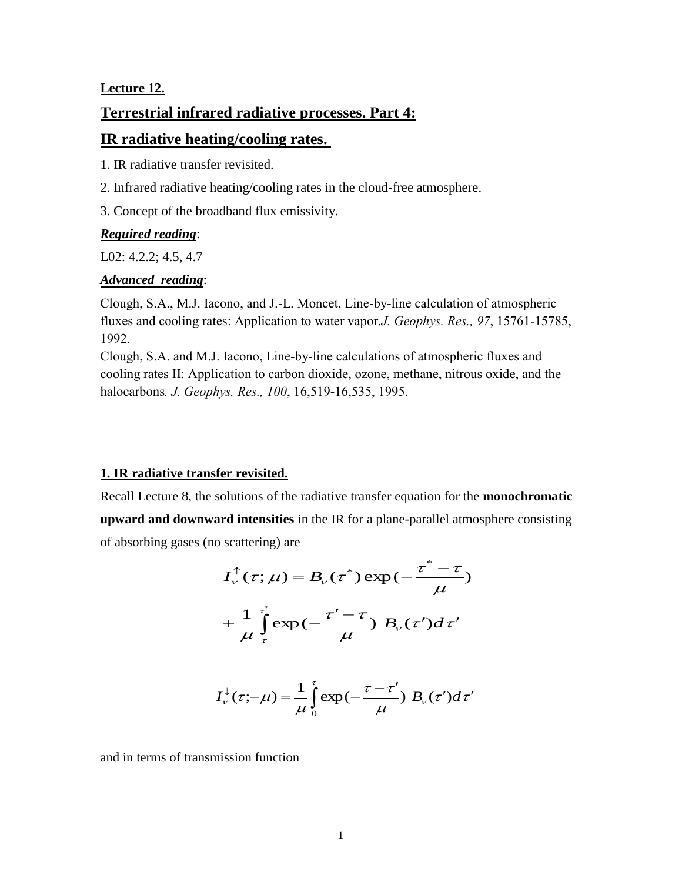## **Lecture 12.**

# **Terrestrial infrared radiative processes. Part 4:**

# **IR radiative heating/cooling rates.**

1. IR radiative transfer revisited.

- 2. Infrared radiative heating/cooling rates in the cloud-free atmosphere.
- 3. Concept of the broadband flux emissivity.

## *Required reading*:

L02: 4.2.2; 4.5, 4.7

## *Advanced reading*:

Clough, S.A., M.J. Iacono, and J.-L. Moncet, Line-by-line calculation of atmospheric fluxes and cooling rates: Application to water vapor.*J. Geophys. Res., 97*, 15761-15785, 1992.

Clough, S.A. and M.J. Iacono, Line-by-line calculations of atmospheric fluxes and cooling rates II: Application to carbon dioxide, ozone, methane, nitrous oxide, and the halocarbons*. J. Geophys. Res., 100*, 16,519-16,535, 1995.

# **1. IR radiative transfer revisited.**

Recall Lecture 8, the solutions of the radiative transfer equation for the **monochromatic** 

**upward and downward intensities** in the IR for a plane-parallel atmosphere consisting of absorbing gases (no scattering) are

$$
I_{\nu}^{\uparrow}(\tau;\mu) = B_{\nu}(\tau^{*}) \exp(-\frac{\tau^{*}-\tau}{\mu})
$$

$$
+ \frac{1}{\mu} \int_{\tau}^{\tau^{*}} \exp(-\frac{\tau'-\tau}{\mu}) B_{\nu}(\tau') d\tau'
$$

$$
I_{\nu}^{\downarrow}(\tau;-\mu) = \frac{1}{\mu} \int_{0}^{\tau} \exp\left(-\frac{\tau-\tau'}{\mu}\right) B_{\nu}(\tau') d\tau'
$$

and in terms of transmission function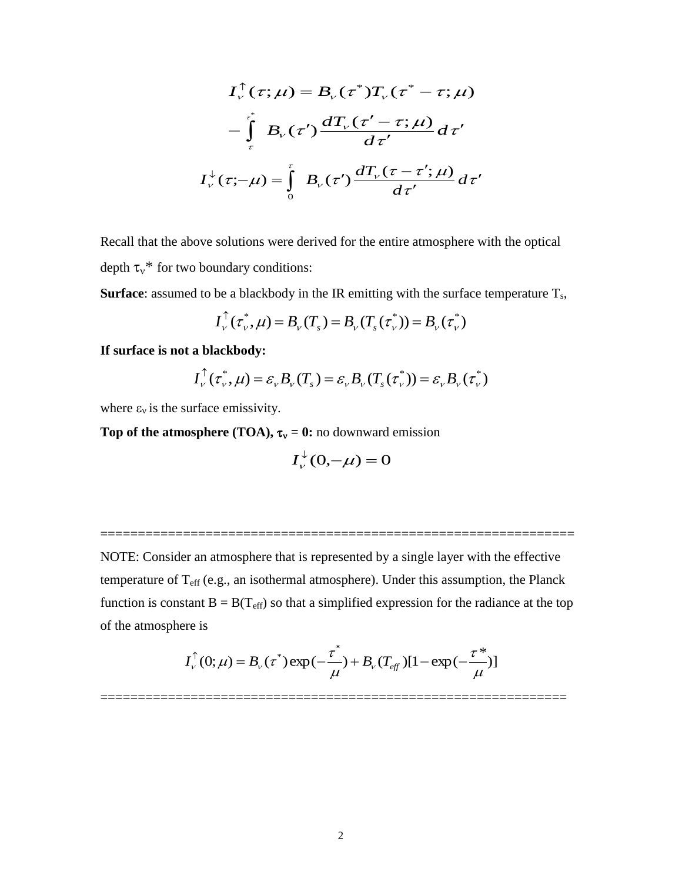$$
I_{\nu}^{\uparrow}(\tau;\mu) = B_{\nu}(\tau^{*})T_{\nu}(\tau^{*} - \tau;\mu)
$$

$$
-\int_{\tau}^{\tau^{*}} B_{\nu}(\tau') \frac{dT_{\nu}(\tau' - \tau;\mu)}{d\tau'} d\tau'
$$

$$
I_{\nu}^{\downarrow}(\tau; -\mu) = \int_{0}^{\tau} B_{\nu}(\tau') \frac{dT_{\nu}(\tau - \tau';\mu)}{d\tau'} d\tau'
$$

Recall that the above solutions were derived for the entire atmosphere with the optical depth  $\tau_v^*$  for two boundary conditions:

**Surface**: assumed to be a blackbody in the IR emitting with the surface temperature  $T_s$ ,

$$
I_{\nu}^{\uparrow}(\tau_{\nu}^*, \mu) = B_{\nu}(T_s) = B_{\nu}(T_s(\tau_{\nu}^*)) = B_{\nu}(\tau_{\nu}^*)
$$

**If surface is not a blackbody:**

$$
I_{\nu}^{\uparrow}(\tau_{\nu}^*,\mu)=\varepsilon_{\nu}B_{\nu}(T_{s})=\varepsilon_{\nu}B_{\nu}(T_{s}(\tau_{\nu}^*))=\varepsilon_{\nu}B_{\nu}(\tau_{\nu}^*)
$$

where  $\varepsilon_v$  is the surface emissivity.

**Top of the atmosphere (TOA),**  $\tau_v = 0$ **: no downward emission** 

$$
I_{\nu}^{\downarrow}(0,-\mu)=0
$$

===============================================================

NOTE: Consider an atmosphere that is represented by a single layer with the effective temperature of  $T_{\text{eff}}$  (e.g., an isothermal atmosphere). Under this assumption, the Planck function is constant  $B = B(T_{\text{eff}})$  so that a simplified expression for the radiance at the top of the atmosphere is

$$
I_{\nu}^{\uparrow}(0;\mu) = B_{\nu}(\tau^*) \exp(-\frac{\tau^*}{\mu}) + B_{\nu}(T_{\text{eff}})[1 - \exp(-\frac{\tau^*}{\mu})]
$$

==============================================================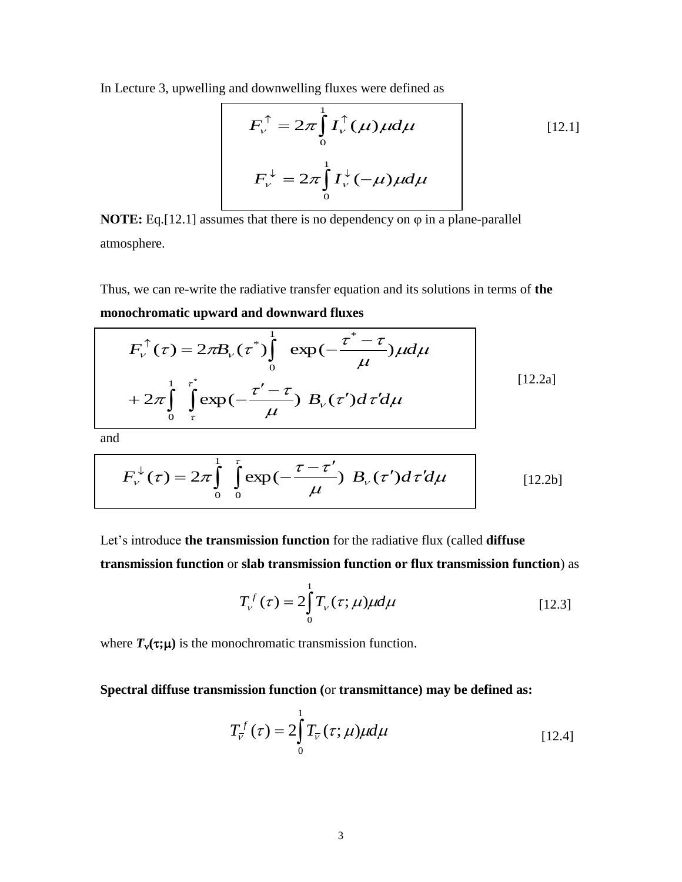In Lecture 3, upwelling and downwelling fluxes were defined as

$$
F_{\nu}^{\uparrow} = 2\pi \int_{0}^{1} I_{\nu}^{\uparrow}(\mu) \mu d\mu
$$
\n
$$
F_{\nu}^{\downarrow} = 2\pi \int_{0}^{1} I_{\nu}^{\downarrow}(-\mu) \mu d\mu
$$
\n
$$
(12.1)
$$

**NOTE:** Eq. $[12.1]$  assumes that there is no dependency on  $\varphi$  in a plane-parallel atmosphere.

Thus, we can re-write the radiative transfer equation and its solutions in terms of **the monochromatic upward and downward fluxes**

$$
F_{\nu}^{\uparrow}(\tau) = 2\pi B_{\nu}(\tau^{*}) \int_{0}^{1} \exp(-\frac{\tau^{*}-\tau}{\mu}) \mu d\mu
$$
  
+ 2\pi \int\_{0}^{1} \int\_{\tau}^{\tau^{\*}} \exp(-\frac{\tau'-\tau}{\mu}) B\_{\nu}(\tau') d\tau' d\mu [12.2a]

and

$$
F_{\nu}^{\downarrow}(\tau) = 2\pi \int_{0}^{\infty} \int_{0}^{\tau} \exp\left(-\frac{\tau - \tau'}{\mu}\right) B_{\nu}(\tau') d\tau' d\mu \qquad [12.2b]
$$

Let's introduce **the transmission function** for the radiative flux (called **diffuse transmission function** or **slab transmission function or flux transmission function**) as

$$
T_{\nu}^{f}(\tau) = 2 \int_{0}^{1} T_{\nu}(\tau; \mu) \mu d\mu
$$
 [12.3]

where  $T_v(\tau;\mu)$  is the monochromatic transmission function.

**Spectral diffuse transmission function (**or **transmittance) may be defined as:**

$$
T_{\overline{v}}^{f}(\tau) = 2 \int_{0}^{1} T_{\overline{v}}(\tau; \mu) \mu d\mu
$$
 [12.4]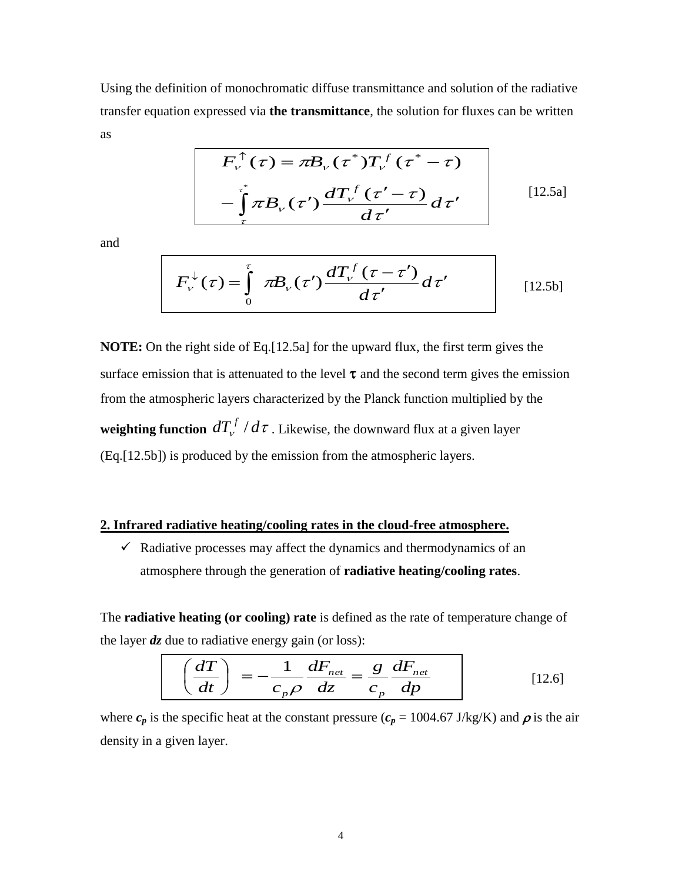Using the definition of monochromatic diffuse transmittance and solution of the radiative transfer equation expressed via **the transmittance**, the solution for fluxes can be written as

$$
F_{\nu}^{\uparrow}(\tau) = \pi B_{\nu}(\tau^*) T_{\nu}^f(\tau^* - \tau)
$$

$$
-\int_{\tau}^{\tau^*} \pi B_{\nu}(\tau') \frac{dT_{\nu}^f(\tau' - \tau)}{d\tau'} d\tau'
$$
 [12.5a]

and

$$
F_{\nu}^{\downarrow}(\tau) = \int_{0}^{\tau} \pi B_{\nu}(\tau') \frac{dT_{\nu}^{f}(\tau - \tau')}{d\tau'} d\tau'
$$
 [12.5b]

**NOTE:** On the right side of Eq.[12.5a] for the upward flux, the first term gives the surface emission that is attenuated to the level  $\tau$  and the second term gives the emission from the atmospheric layers characterized by the Planck function multiplied by the **weighting function**  $dT_{\nu}^f/d\tau$  . Likewise, the downward flux at a given layer (Eq.[12.5b]) is produced by the emission from the atmospheric layers.

#### **2. Infrared radiative heating/cooling rates in the cloud-free atmosphere.**

 $\checkmark$  Radiative processes may affect the dynamics and thermodynamics of an atmosphere through the generation of **radiative heating/cooling rates**.

The **radiative heating (or cooling) rate** is defined as the rate of temperature change of the layer *dz* due to radiative energy gain (or loss):

$$
\left(\frac{dT}{dt}\right) = -\frac{1}{c_p \rho} \frac{dF_{net}}{dz} = \frac{g}{c_p} \frac{dF_{net}}{dp}
$$
 [12.6]

where  $c_p$  is the specific heat at the constant pressure ( $c_p = 1004.67$  J/kg/K) and  $\rho$  is the air density in a given layer.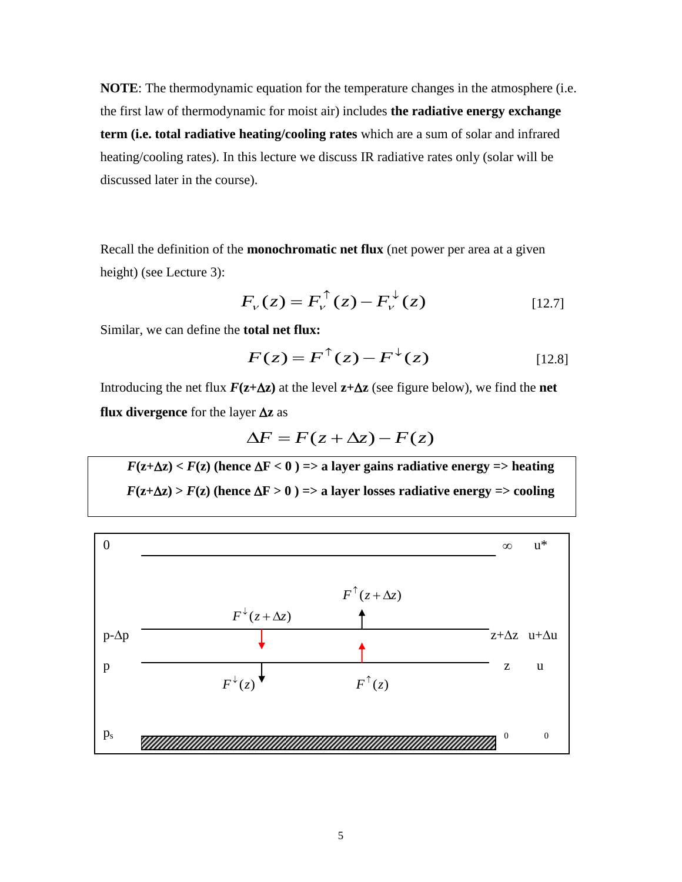**NOTE**: The thermodynamic equation for the temperature changes in the atmosphere (i.e. the first law of thermodynamic for moist air) includes **the radiative energy exchange term (i.e. total radiative heating/cooling rates** which are a sum of solar and infrared heating/cooling rates). In this lecture we discuss IR radiative rates only (solar will be discussed later in the course).

Recall the definition of the **monochromatic net flux** (net power per area at a given height) (see Lecture 3):

$$
F_{\nu}(z) = F_{\nu}^{\uparrow}(z) - F_{\nu}^{\downarrow}(z)
$$
 [12.7]

Similar, we can define the **total net flux:**

$$
F(z) = F^{\uparrow}(z) - F^{\downarrow}(z)
$$
 [12.8]

Introducing the net flux  $F(z+\Delta z)$  at the level  $z+\Delta z$  (see figure below), we find the **net flux divergence** for the layer  $\Delta z$  as

$$
\Delta F = F(z + \Delta z) - F(z)
$$

 $F(z+\Delta z) < F(z)$  (hence  $\Delta F < 0$ ) => a layer gains radiative energy => heating  $F(z+\Delta z) > F(z)$  (hence  $\Delta F > 0$ ) => a layer losses radiative energy => cooling

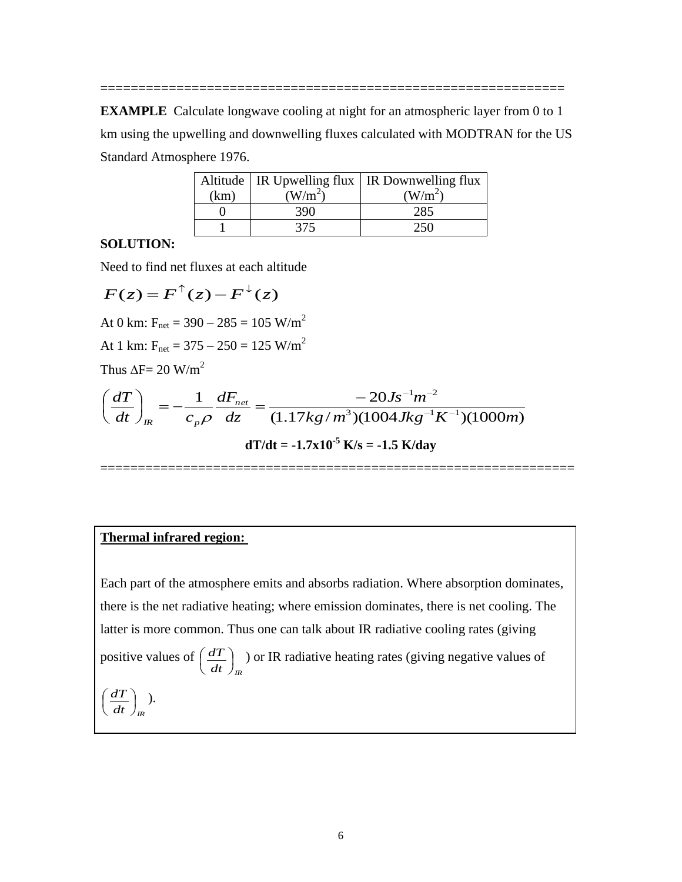**EXAMPLE** Calculate longwave cooling at night for an atmospheric layer from 0 to 1 km using the upwelling and downwelling fluxes calculated with MODTRAN for the US Standard Atmosphere 1976.

**=============================================================**

|      |                     | Altitude   IR Upwelling flux   IR Downwelling flux |
|------|---------------------|----------------------------------------------------|
| (km) | (W/m <sup>2</sup> ) | (W/m <sup>2</sup> )                                |
|      | 390                 | 285                                                |
|      | 375                 |                                                    |

# **SOLUTION:**

Need to find net fluxes at each altitude

$$
F(z) = F^{\uparrow}(z) - F^{\downarrow}(z)
$$
  
At 0 km: F<sub>net</sub> = 390 - 285 = 105 W/m<sup>2</sup>  
At 1 km: F<sub>net</sub> = 375 - 250 = 125 W/m<sup>2</sup>  
Thus  $\Delta F = 20$  W/m<sup>2</sup>  

$$
\left(\frac{dT}{dt}\right)_{IR} = -\frac{1}{c_p \rho} \frac{dF_{net}}{dz} = \frac{-20Js^{-1}m^{-2}}{(1.17kg/m^3)(1004Jkg^{-1}K^{-1})(1000m)}
$$

 $dT/dt = -1.7x10^{-5}$  **K**/s =  $-1.5$  **K**/day

===============================================================

#### **Thermal infrared region:**

Each part of the atmosphere emits and absorbs radiation. Where absorption dominates, there is the net radiative heating; where emission dominates, there is net cooling. The latter is more common. Thus one can talk about IR radiative cooling rates (giving positive values of  $\overline{dt}$   $\big)_{\text{IR}}$  $\frac{dT}{L}$ J  $\left(\frac{dT}{L}\right)$  $\setminus$  $\left(\frac{dT}{dT}\right)$ ) or IR radiative heating rates (giving negative values of  $\overline{dt}\big)_{\!R}$  $\frac{dT}{L}$  $\bigg)$  $\left(\frac{dT}{L}\right)$  $\setminus$  $\left(\frac{dT}{T}\right)$ .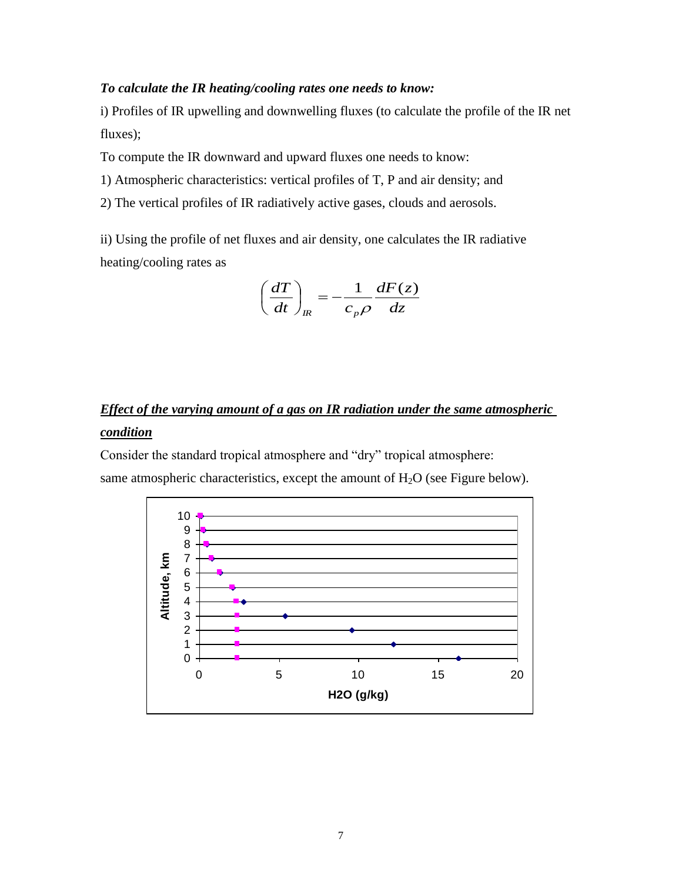#### *To calculate the IR heating/cooling rates one needs to know:*

i) Profiles of IR upwelling and downwelling fluxes (to calculate the profile of the IR net fluxes);

To compute the IR downward and upward fluxes one needs to know:

- 1) Atmospheric characteristics: vertical profiles of T, P and air density; and
- 2) The vertical profiles of IR radiatively active gases, clouds and aerosols.

ii) Using the profile of net fluxes and air density, one calculates the IR radiative heating/cooling rates as

$$
\left(\frac{dT}{dt}\right)_{IR} = -\frac{1}{c_p \rho} \frac{dF(z)}{dz}
$$

# *Effect of the varying amount of a gas on IR radiation under the same atmospheric condition*

Consider the standard tropical atmosphere and "dry" tropical atmosphere:

same atmospheric characteristics, except the amount of  $H_2O$  (see Figure below).

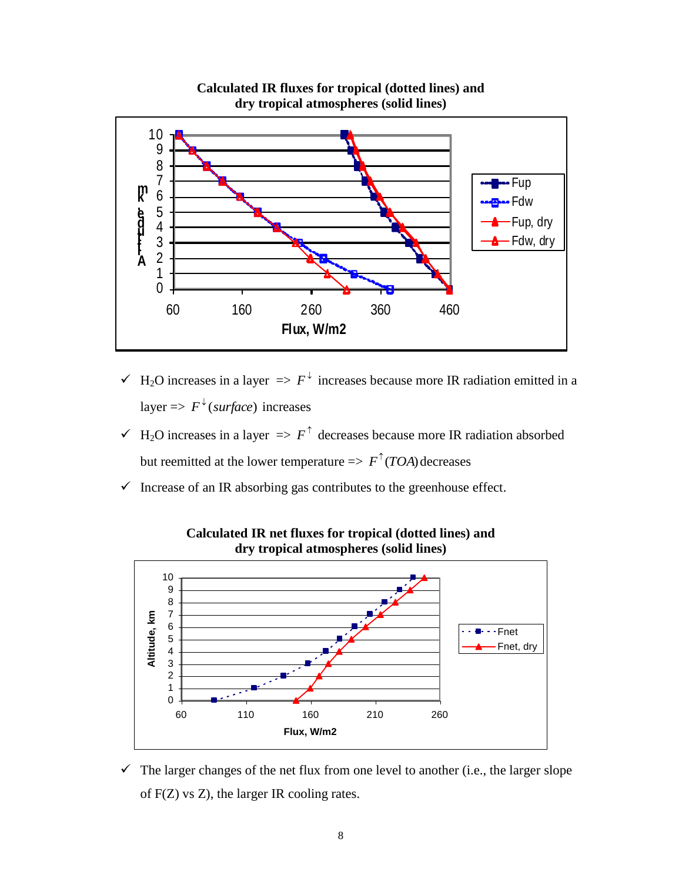

**Calculated IR fluxes for tropical (dotted lines) and dry tropical atmospheres (solid lines)**

- $\checkmark$  H<sub>2</sub>O increases in a layer  $\Rightarrow$   $F^{\downarrow}$  increases because more IR radiation emitted in a layer  $\Rightarrow$   $F^{\downarrow}$  (*surface*) increases
- $\checkmark$  H<sub>2</sub>O increases in a layer  $\Rightarrow$   $F^{\uparrow}$  decreases because more IR radiation absorbed but reemitted at the lower temperature  $\Rightarrow F^{\uparrow}(TOA)$  decreases
- $\checkmark$  Increase of an IR absorbing gas contributes to the greenhouse effect.



**Calculated IR net fluxes for tropical (dotted lines) and dry tropical atmospheres (solid lines)**

 $\checkmark$  The larger changes of the net flux from one level to another (i.e., the larger slope of F(Z) vs Z), the larger IR cooling rates.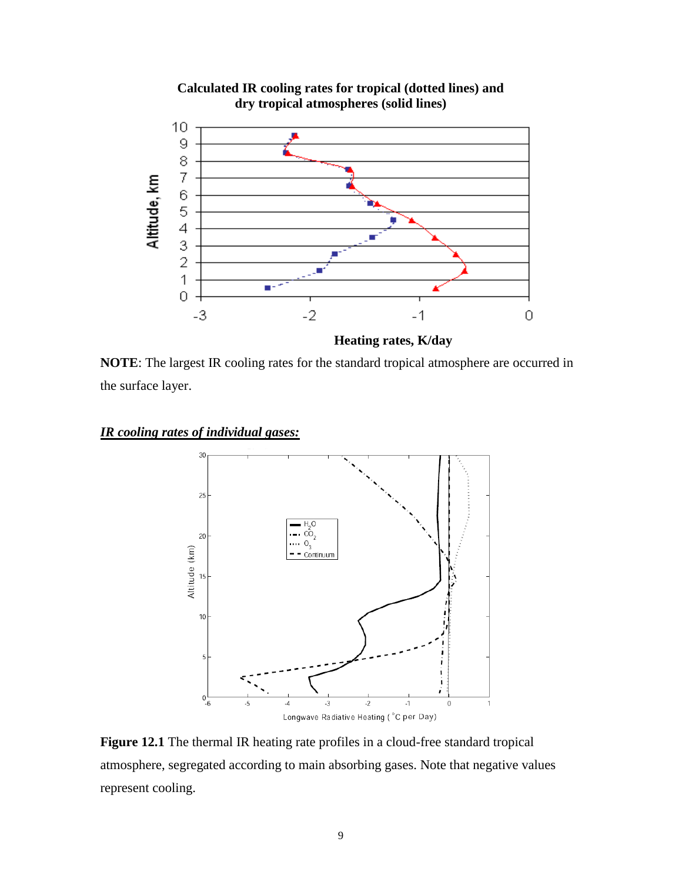

**Calculated IR cooling rates for tropical (dotted lines) and** 

 **Heating rates, K/day NOTE**: The largest IR cooling rates for the standard tropical atmosphere are occurred in

the surface layer.

### *IR cooling rates of individual gases:*



**Figure 12.1** The thermal IR heating rate profiles in a cloud-free standard tropical atmosphere, segregated according to main absorbing gases. Note that negative values represent cooling.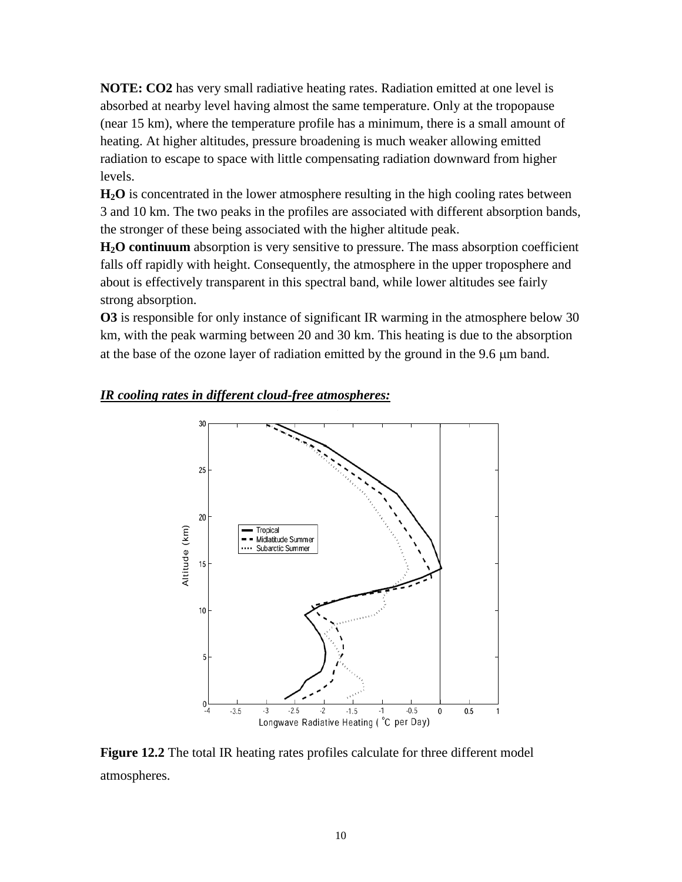**NOTE: CO2** has very small radiative heating rates. Radiation emitted at one level is absorbed at nearby level having almost the same temperature. Only at the tropopause (near 15 km), where the temperature profile has a minimum, there is a small amount of heating. At higher altitudes, pressure broadening is much weaker allowing emitted radiation to escape to space with little compensating radiation downward from higher levels.

**H2O** is concentrated in the lower atmosphere resulting in the high cooling rates between 3 and 10 km. The two peaks in the profiles are associated with different absorption bands, the stronger of these being associated with the higher altitude peak.

**H2O continuum** absorption is very sensitive to pressure. The mass absorption coefficient falls off rapidly with height. Consequently, the atmosphere in the upper troposphere and about is effectively transparent in this spectral band, while lower altitudes see fairly strong absorption.

**O3** is responsible for only instance of significant IR warming in the atmosphere below 30 km, with the peak warming between 20 and 30 km. This heating is due to the absorption at the base of the ozone layer of radiation emitted by the ground in the 9.6  $\mu$ m band.

#### *IR cooling rates in different cloud-free atmospheres:*



**Figure 12.2** The total IR heating rates profiles calculate for three different model atmospheres.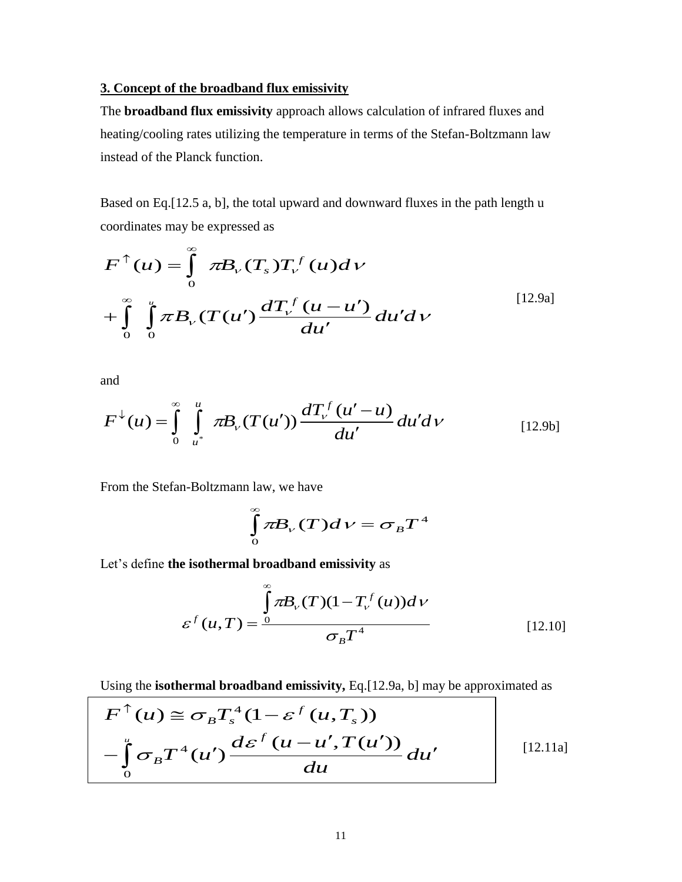#### **3. Concept of the broadband flux emissivity**

The **broadband flux emissivity** approach allows calculation of infrared fluxes and heating/cooling rates utilizing the temperature in terms of the Stefan-Boltzmann law instead of the Planck function.

Based on Eq.[12.5 a, b], the total upward and downward fluxes in the path length u coordinates may be expressed as

$$
F^{\uparrow}(u) = \int_{0}^{\infty} \pi B_{\nu}(T_s) T_{\nu}^f(u) dv
$$
  
+ 
$$
\int_{0}^{\infty} \int_{0}^{u} \pi B_{\nu}(T(u') \frac{dT_{\nu}^f(u - u')}{du'} du' du'
$$
 [12.9a]

and

$$
F^{\downarrow}(u) = \int_{0}^{\infty} \int_{u^{*}}^{u} \pi B_{\nu}(T(u')) \frac{dT_{\nu}^{f}(u'-u)}{du'} du'd\nu
$$
 [12.9b]

From the Stefan-Boltzmann law, we have

$$
\int_{0}^{\infty} \pi B_{\nu}(T) d\nu = \sigma_{B} T^{4}
$$

Let's define **the isothermal broadband emissivity** as

$$
\varepsilon^{f}(u,T) = \frac{\int_{0}^{\infty} \pi B_{\nu}(T)(1 - T_{\nu}^{f}(u))d\nu}{\sigma_{B}T^{4}}
$$
\n[12.10]

Using the **isothermal broadband emissivity,** Eq.[12.9a, b] may be approximated as

$$
F^{\uparrow}(u) \cong \sigma_B T_s^4 (1 - \varepsilon^f(u, T_s))
$$
  
 
$$
- \int_0^u \sigma_B T^4(u') \frac{d\varepsilon^f(u - u', T(u'))}{du} du'
$$
 [12.11a]